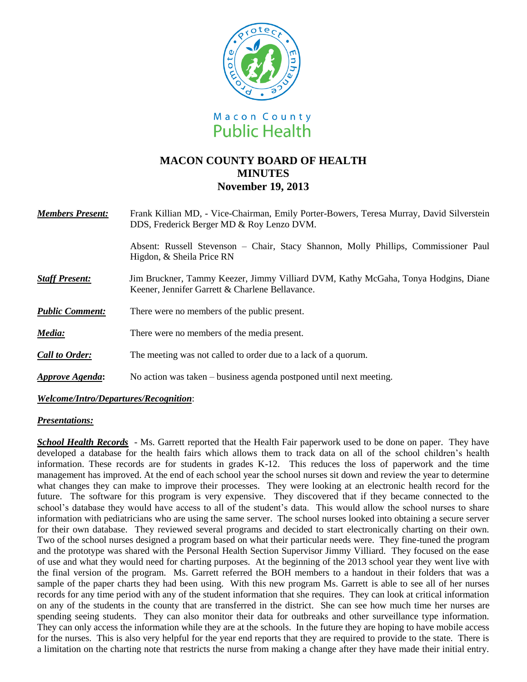

# **MACON COUNTY BOARD OF HEALTH MINUTES November 19, 2013**

| <b>Members Present:</b> | Frank Killian MD, - Vice-Chairman, Emily Porter-Bowers, Teresa Murray, David Silverstein<br>DDS, Frederick Berger MD & Roy Lenzo DVM. |
|-------------------------|---------------------------------------------------------------------------------------------------------------------------------------|
|                         | Absent: Russell Stevenson – Chair, Stacy Shannon, Molly Phillips, Commissioner Paul<br>Higdon, & Sheila Price RN                      |
| <b>Staff Present:</b>   | Jim Bruckner, Tammy Keezer, Jimmy Villiard DVM, Kathy McGaha, Tonya Hodgins, Diane<br>Keener, Jennifer Garrett & Charlene Bellavance. |
| <b>Public Comment:</b>  | There were no members of the public present.                                                                                          |
| Media:                  | There were no members of the media present.                                                                                           |
| <b>Call to Order:</b>   | The meeting was not called to order due to a lack of a quorum.                                                                        |
| <b>Approve Agenda:</b>  | No action was taken – business agenda postponed until next meeting.                                                                   |

*Welcome/Intro/Departures/Recognition*:

### *Presentations:*

*School Health Records* - Ms. Garrett reported that the Health Fair paperwork used to be done on paper. They have developed a database for the health fairs which allows them to track data on all of the school children's health information. These records are for students in grades K-12. This reduces the loss of paperwork and the time management has improved. At the end of each school year the school nurses sit down and review the year to determine what changes they can make to improve their processes. They were looking at an electronic health record for the future. The software for this program is very expensive. They discovered that if they became connected to the school's database they would have access to all of the student's data. This would allow the school nurses to share information with pediatricians who are using the same server. The school nurses looked into obtaining a secure server for their own database. They reviewed several programs and decided to start electronically charting on their own. Two of the school nurses designed a program based on what their particular needs were. They fine-tuned the program and the prototype was shared with the Personal Health Section Supervisor Jimmy Villiard. They focused on the ease of use and what they would need for charting purposes. At the beginning of the 2013 school year they went live with the final version of the program. Ms. Garrett referred the BOH members to a handout in their folders that was a sample of the paper charts they had been using. With this new program Ms. Garrett is able to see all of her nurses records for any time period with any of the student information that she requires. They can look at critical information on any of the students in the county that are transferred in the district. She can see how much time her nurses are spending seeing students. They can also monitor their data for outbreaks and other surveillance type information. They can only access the information while they are at the schools. In the future they are hoping to have mobile access for the nurses. This is also very helpful for the year end reports that they are required to provide to the state. There is a limitation on the charting note that restricts the nurse from making a change after they have made their initial entry.